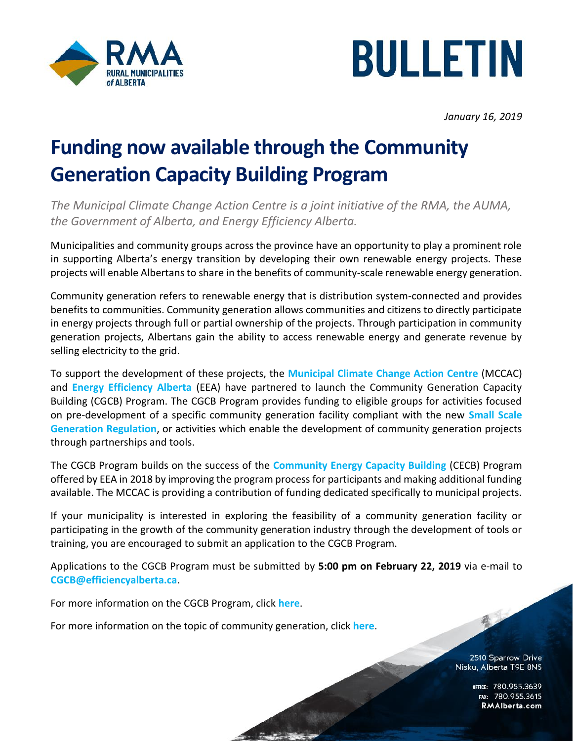



*January 16, 2019*

## **Funding now available through the Community Generation Capacity Building Program**

*The Municipal Climate Change Action Centre is a joint initiative of the RMA, the AUMA, the Government of Alberta, and Energy Efficiency Alberta.* 

Municipalities and community groups across the province have an opportunity to play a prominent role in supporting Alberta's energy transition by developing their own renewable energy projects. These projects will enable Albertans to share in the benefits of community-scale renewable energy generation.

Community generation refers to renewable energy that is distribution system-connected and provides benefits to communities. Community generation allows communities and citizens to directly participate in energy projects through full or partial ownership of the projects. Through participation in community generation projects, Albertans gain the ability to access renewable energy and generate revenue by selling electricity to the grid.

To support the development of these projects, the **[Municipal Climate Change Action Centre](http://www.mccac.ca/)** (MCCAC) and **[Energy Efficiency Alberta](https://www.efficiencyalberta.ca/)** (EEA) have partnered to launch the Community Generation Capacity Building (CGCB) Program. The CGCB Program provides funding to eligible groups for activities focused on pre-development of a specific community generation facility compliant with the new **[Small Scale](http://www.qp.alberta.ca/documents/Regs/2018_194.pdf)  [Generation Regulation](http://www.qp.alberta.ca/documents/Regs/2018_194.pdf)**, or activities which enable the development of community generation projects through partnerships and tools.

The CGCB Program builds on the success of the **[Community Energy Capacity Building](https://www.efficiencyalberta.ca/solar/community-energy-capacity-building-program/)** (CECB) Program offered by EEA in 2018 by improving the program process for participants and making additional funding available. The MCCAC is providing a contribution of funding dedicated specifically to municipal projects.

If your municipality is interested in exploring the feasibility of a community generation facility or participating in the growth of the community generation industry through the development of tools or training, you are encouraged to submit an application to the CGCB Program.

Applications to the CGCB Program must be submitted by **5:00 pm on February 22, 2019** via e-mail to **[CGCB@efficiencyalberta.ca](mailto:CGCB@efficiencyalberta.ca)**.

For more information on the CGCB Program, click **[here](http://www.mccac.ca/programs/CGCB)**.

For more information on the topic of community generation, click **[here](http://www.efficiencyalberta.ca/commgen/)**.

2510 Sparrow Drive Nisku, Alberta T9E 8N5

承

OFFICE: 780.955.3639<br>15.780.955.3615 RMAIberta.com